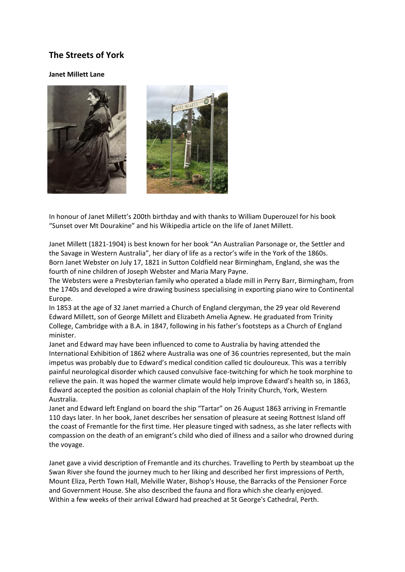## **The Streets of York**

## **Janet Millett Lane**



In honour of Janet Millett's 200th birthday and with thanks to William Duperouzel for his book "Sunset over Mt Dourakine" and his Wikipedia article on the life of Janet Millett.

Janet Millett (1821-1904) is best known for her book "An Australian Parsonage or, the Settler and the Savage in Western Australia", her diary of life as a rector's wife in the York of the 1860s. Born Janet Webster on July 17, 1821 in Sutton Coldfield near Birmingham, England, she was the fourth of nine children of Joseph Webster and Maria Mary Payne.

The Websters were a Presbyterian family who operated a blade mill in Perry Barr, Birmingham, from the 1740s and developed a wire drawing business specialising in exporting piano wire to Continental Europe.

In 1853 at the age of 32 Janet married a Church of England clergyman, the 29 year old Reverend Edward Millett, son of George Millett and Elizabeth Amelia Agnew. He graduated from Trinity College, Cambridge with a B.A. in 1847, following in his father's footsteps as a Church of England minister.

Janet and Edward may have been influenced to come to Australia by having attended the International Exhibition of 1862 where Australia was one of 36 countries represented, but the main impetus was probably due to Edward's medical condition called tic douloureux. This was a terribly painful neurological disorder which caused convulsive face-twitching for which he took morphine to relieve the pain. It was hoped the warmer climate would help improve Edward's health so, in 1863, Edward accepted the position as colonial chaplain of the Holy Trinity Church, York, Western Australia.

Janet and Edward left England on board the ship "Tartar" on 26 August 1863 arriving in Fremantle 110 days later. In her book, Janet describes her sensation of pleasure at seeing Rottnest Island off the coast of Fremantle for the first time. Her pleasure tinged with sadness, as she later reflects with compassion on the death of an emigrant's child who died of illness and a sailor who drowned during the voyage.

Janet gave a vivid description of Fremantle and its churches. Travelling to Perth by steamboat up the Swan River she found the journey much to her liking and described her first impressions of Perth, Mount Eliza, Perth Town Hall, Melville Water, Bishop's House, the Barracks of the Pensioner Force and Government House. She also described the fauna and flora which she clearly enjoyed. Within a few weeks of their arrival Edward had preached at St George's Cathedral, Perth.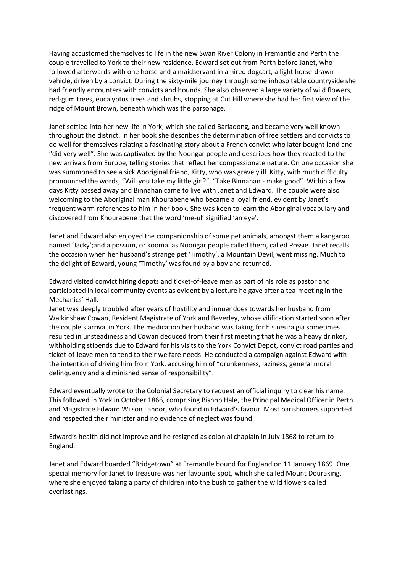Having accustomed themselves to life in the new Swan River Colony in Fremantle and Perth the couple travelled to York to their new residence. Edward set out from Perth before Janet, who followed afterwards with one horse and a maidservant in a hired dogcart, a light horse-drawn vehicle, driven by a convict. During the sixty-mile journey through some inhospitable countryside she had friendly encounters with convicts and hounds. She also observed a large variety of wild flowers, red-gum trees, eucalyptus trees and shrubs, stopping at Cut Hill where she had her first view of the ridge of Mount Brown, beneath which was the parsonage.

Janet settled into her new life in York, which she called Barladong, and became very well known throughout the district. In her book she describes the determination of free settlers and convicts to do well for themselves relating a fascinating story about a French convict who later bought land and "did very well". She was captivated by the Noongar people and describes how they reacted to the new arrivals from Europe, telling stories that reflect her compassionate nature. On one occasion she was summoned to see a sick Aboriginal friend, Kitty, who was gravely ill. Kitty, with much difficulty pronounced the words, "Will you take my little girl?". "Take Binnahan - make good". Within a few days Kitty passed away and Binnahan came to live with Janet and Edward. The couple were also welcoming to the Aboriginal man Khourabene who became a loyal friend, evident by Janet's frequent warm references to him in her book. She was keen to learn the Aboriginal vocabulary and discovered from Khourabene that the word 'me-ul' signified 'an eye'.

Janet and Edward also enjoyed the companionship of some pet animals, amongst them a kangaroo named 'Jacky';and a possum, or koomal as Noongar people called them, called Possie. Janet recalls the occasion when her husband's strange pet 'Timothy', a Mountain Devil, went missing. Much to the delight of Edward, young 'Timothy' was found by a boy and returned.

Edward visited convict hiring depots and ticket-of-leave men as part of his role as pastor and participated in local community events as evident by a lecture he gave after a tea-meeting in the Mechanics' Hall.

Janet was deeply troubled after years of hostility and innuendoes towards her husband from Walkinshaw Cowan, Resident Magistrate of York and Beverley, whose vilification started soon after the couple's arrival in York. The medication her husband was taking for his neuralgia sometimes resulted in unsteadiness and Cowan deduced from their first meeting that he was a heavy drinker, withholding stipends due to Edward for his visits to the York Convict Depot, convict road parties and ticket-of-leave men to tend to their welfare needs. He conducted a campaign against Edward with the intention of driving him from York, accusing him of "drunkenness, laziness, general moral delinquency and a diminished sense of responsibility".

Edward eventually wrote to the Colonial Secretary to request an official inquiry to clear his name. This followed in York in October 1866, comprising Bishop Hale, the Principal Medical Officer in Perth and Magistrate Edward Wilson Landor, who found in Edward's favour. Most parishioners supported and respected their minister and no evidence of neglect was found.

Edward's health did not improve and he resigned as colonial chaplain in July 1868 to return to England.

Janet and Edward boarded "Bridgetown" at Fremantle bound for England on 11 January 1869. One special memory for Janet to treasure was her favourite spot, which she called Mount Douraking, where she enjoyed taking a party of children into the bush to gather the wild flowers called everlastings.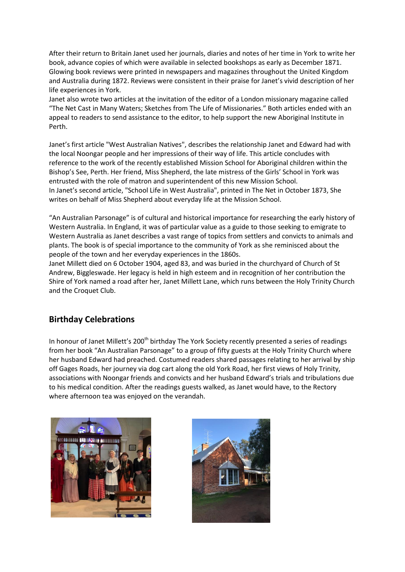After their return to Britain Janet used her journals, diaries and notes of her time in York to write her book, advance copies of which were available in selected bookshops as early as December 1871. Glowing book reviews were printed in newspapers and magazines throughout the United Kingdom and Australia during 1872. Reviews were consistent in their praise for Janet's vivid description of her life experiences in York.

Janet also wrote two articles at the invitation of the editor of a London missionary magazine called "The Net Cast in Many Waters; Sketches from The Life of Missionaries." Both articles ended with an appeal to readers to send assistance to the editor, to help support the new Aboriginal Institute in Perth.

Janet's first article "West Australian Natives", describes the relationship Janet and Edward had with the local Noongar people and her impressions of their way of life. This article concludes with reference to the work of the recently established Mission School for Aboriginal children within the Bishop's See, Perth. Her friend, Miss Shepherd, the late mistress of the Girls' School in York was entrusted with the role of matron and superintendent of this new Mission School. In Janet's second article, "School Life in West Australia", printed in The Net in October 1873, She writes on behalf of Miss Shepherd about everyday life at the Mission School.

"An Australian Parsonage" is of cultural and historical importance for researching the early history of Western Australia. In England, it was of particular value as a guide to those seeking to emigrate to Western Australia as Janet describes a vast range of topics from settlers and convicts to animals and plants. The book is of special importance to the community of York as she reminisced about the people of the town and her everyday experiences in the 1860s.

Janet Millett died on 6 October 1904, aged 83, and was buried in the churchyard of Church of St Andrew, Biggleswade. Her legacy is held in high esteem and in recognition of her contribution the Shire of York named a road after her, Janet Millett Lane, which runs between the Holy Trinity Church and the Croquet Club.

## **Birthday Celebrations**

In honour of Janet Millett's 200<sup>th</sup> birthday The York Society recently presented a series of readings from her book "An Australian Parsonage" to a group of fifty guests at the Holy Trinity Church where her husband Edward had preached. Costumed readers shared passages relating to her arrival by ship off Gages Roads, her journey via dog cart along the old York Road, her first views of Holy Trinity, associations with Noongar friends and convicts and her husband Edward's trials and tribulations due to his medical condition. After the readings guests walked, as Janet would have, to the Rectory where afternoon tea was enjoyed on the verandah.